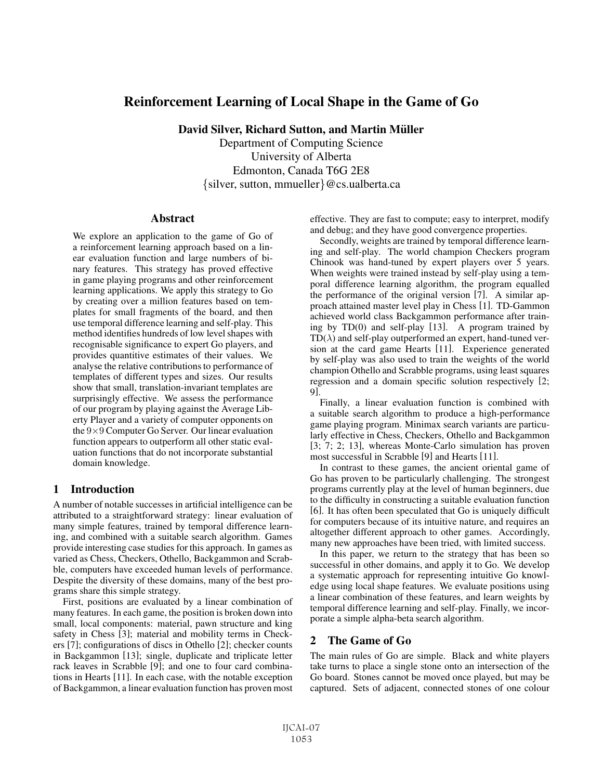# Reinforcement Learning of Local Shape in the Game of Go

David Silver, Richard Sutton, and Martin Müller

Department of Computing Science University of Alberta Edmonton, Canada T6G 2E8 {silver, sutton, mmueller}@cs.ualberta.ca

### Abstract

We explore an application to the game of Go of a reinforcement learning approach based on a linear evaluation function and large numbers of binary features. This strategy has proved effective in game playing programs and other reinforcement learning applications. We apply this strategy to Go by creating over a million features based on templates for small fragments of the board, and then use temporal difference learning and self-play. This method identifies hundreds of low level shapes with recognisable significance to expert Go players, and provides quantitive estimates of their values. We analyse the relative contributions to performance of templates of different types and sizes. Our results show that small, translation-invariant templates are surprisingly effective. We assess the performance of our program by playing against the Average Liberty Player and a variety of computer opponents on the  $9\times 9$  Computer Go Server. Our linear evaluation function appears to outperform all other static evaluation functions that do not incorporate substantial domain knowledge.

# 1 Introduction

A number of notable successes in artificial intelligence can be attributed to a straightforward strategy: linear evaluation of many simple features, trained by temporal difference learning, and combined with a suitable search algorithm. Games provide interesting case studies for this approach. In games as varied as Chess, Checkers, Othello, Backgammon and Scrabble, computers have exceeded human levels of performance. Despite the diversity of these domains, many of the best programs share this simple strategy.

First, positions are evaluated by a linear combination of many features. In each game, the position is broken down into small, local components: material, pawn structure and king safety in Chess [3]; material and mobility terms in Checkers [7]; configurations of discs in Othello [2]; checker counts in Backgammon [13]; single, duplicate and triplicate letter rack leaves in Scrabble [9]; and one to four card combinations in Hearts [11]. In each case, with the notable exception of Backgammon, a linear evaluation function has proven most

effective. They are fast to compute; easy to interpret, modify and debug; and they have good convergence properties.

Secondly, weights are trained by temporal difference learning and self-play. The world champion Checkers program Chinook was hand-tuned by expert players over 5 years. When weights were trained instead by self-play using a temporal difference learning algorithm, the program equalled the performance of the original version [7]. A similar approach attained master level play in Chess [1]. TD-Gammon achieved world class Backgammon performance after training by TD(0) and self-play [13]. A program trained by  $TD(\lambda)$  and self-play outperformed an expert, hand-tuned version at the card game Hearts [11]. Experience generated by self-play was also used to train the weights of the world champion Othello and Scrabble programs, using least squares regression and a domain specific solution respectively [2; 9].

Finally, a linear evaluation function is combined with a suitable search algorithm to produce a high-performance game playing program. Minimax search variants are particularly effective in Chess, Checkers, Othello and Backgammon [3; 7; 2; 13], whereas Monte-Carlo simulation has proven most successful in Scrabble [9] and Hearts [11].

In contrast to these games, the ancient oriental game of Go has proven to be particularly challenging. The strongest programs currently play at the level of human beginners, due to the difficulty in constructing a suitable evaluation function [6]. It has often been speculated that Go is uniquely difficult for computers because of its intuitive nature, and requires an altogether different approach to other games. Accordingly, many new approaches have been tried, with limited success.

In this paper, we return to the strategy that has been so successful in other domains, and apply it to Go. We develop a systematic approach for representing intuitive Go knowledge using local shape features. We evaluate positions using a linear combination of these features, and learn weights by temporal difference learning and self-play. Finally, we incorporate a simple alpha-beta search algorithm.

# 2 The Game of Go

The main rules of Go are simple. Black and white players take turns to place a single stone onto an intersection of the Go board. Stones cannot be moved once played, but may be captured. Sets of adjacent, connected stones of one colour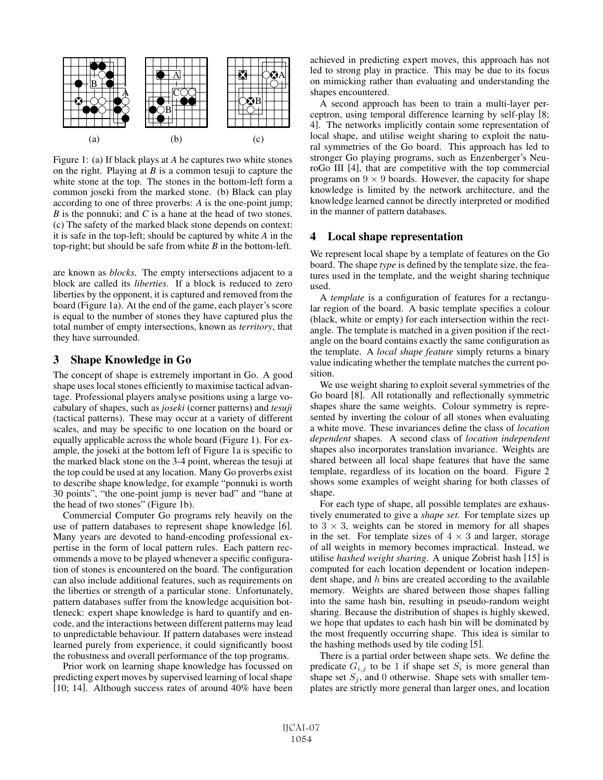

Figure 1: (a) If black plays at *A* he captures two white stones on the right. Playing at *B* is a common tesuji to capture the white stone at the top. The stones in the bottom-left form a common joseki from the marked stone. (b) Black can play according to one of three proverbs: *A* is the one-point jump; *B* is the ponnuki; and *C* is a hane at the head of two stones. (c) The safety of the marked black stone depends on context: it is safe in the top-left; should be captured by white *A* in the top-right; but should be safe from white *B* in the bottom-left.

are known as *blocks*. The empty intersections adjacent to a block are called its *liberties*. If a block is reduced to zero liberties by the opponent, it is captured and removed from the board (Figure 1a). At the end of the game, each player's score is equal to the number of stones they have captured plus the total number of empty intersections, known as *territory*, that they have surrounded.

### 3 Shape Knowledge in Go

The concept of shape is extremely important in Go. A good shape uses local stones efficiently to maximise tactical advantage. Professional players analyse positions using a large vocabulary of shapes, such as *joseki* (corner patterns) and *tesuji* (tactical patterns). These may occur at a variety of different scales, and may be specific to one location on the board or equally applicable across the whole board (Figure 1). For example, the joseki at the bottom left of Figure 1a is specific to the marked black stone on the 3-4 point, whereas the tesuji at the top could be used at any location. Many Go proverbs exist to describe shape knowledge, for example "ponnuki is worth 30 points", "the one-point jump is never bad" and "hane at the head of two stones" (Figure 1b).

Commercial Computer Go programs rely heavily on the use of pattern databases to represent shape knowledge [6]. Many years are devoted to hand-encoding professional expertise in the form of local pattern rules. Each pattern recommends a move to be played whenever a specific configuration of stones is encountered on the board. The configuration can also include additional features, such as requirements on the liberties or strength of a particular stone. Unfortunately, pattern databases suffer from the knowledge acquisition bottleneck: expert shape knowledge is hard to quantify and encode, and the interactions between different patterns may lead to unpredictable behaviour. If pattern databases were instead learned purely from experience, it could significantly boost the robustness and overall performance of the top programs.

Prior work on learning shape knowledge has focussed on predicting expert moves by supervised learning of local shape [10; 14]. Although success rates of around 40% have been achieved in predicting expert moves, this approach has not led to strong play in practice. This may be due to its focus on mimicking rather than evaluating and understanding the shapes encountered.

A second approach has been to train a multi-layer perceptron, using temporal difference learning by self-play [8; 4]. The networks implicitly contain some representation of local shape, and utilise weight sharing to exploit the natural symmetries of the Go board. This approach has led to stronger Go playing programs, such as Enzenberger's NeuroGo III [4], that are competitive with the top commercial programs on  $9 \times 9$  boards. However, the capacity for shape knowledge is limited by the network architecture, and the knowledge learned cannot be directly interpreted or modified in the manner of pattern databases.

#### 4 Local shape representation

We represent local shape by a template of features on the Go board. The shape *type* is defined by the template size, the features used in the template, and the weight sharing technique used.

A *template* is a configuration of features for a rectangular region of the board. A basic template specifies a colour (black, white or empty) for each intersection within the rectangle. The template is matched in a given position if the rectangle on the board contains exactly the same configuration as the template. A *local shape feature* simply returns a binary value indicating whether the template matches the current position.

We use weight sharing to exploit several symmetries of the Go board [8]. All rotationally and reflectionally symmetric shapes share the same weights. Colour symmetry is represented by inverting the colour of all stones when evaluating a white move. These invariances define the class of *location dependent* shapes. A second class of *location independent* shapes also incorporates translation invariance. Weights are shared between all local shape features that have the same template, regardless of its location on the board. Figure 2 shows some examples of weight sharing for both classes of shape.

For each type of shape, all possible templates are exhaustively enumerated to give a *shape set*. For template sizes up to  $3 \times 3$ , weights can be stored in memory for all shapes in the set. For template sizes of  $4 \times 3$  and larger, storage of all weights in memory becomes impractical. Instead, we utilise *hashed weight sharing*. A unique Zobrist hash [15] is computed for each location dependent or location independent shape, and  $h$  bins are created according to the available memory. Weights are shared between those shapes falling into the same hash bin, resulting in pseudo-random weight sharing. Because the distribution of shapes is highly skewed, we hope that updates to each hash bin will be dominated by the most frequently occurring shape. This idea is similar to the hashing methods used by tile coding [5].

There is a partial order between shape sets. We define the predicate  $G_{i,j}$  to be 1 if shape set  $S_i$  is more general than shape set  $S_i$ , and 0 otherwise. Shape sets with smaller templates are strictly more general than larger ones, and location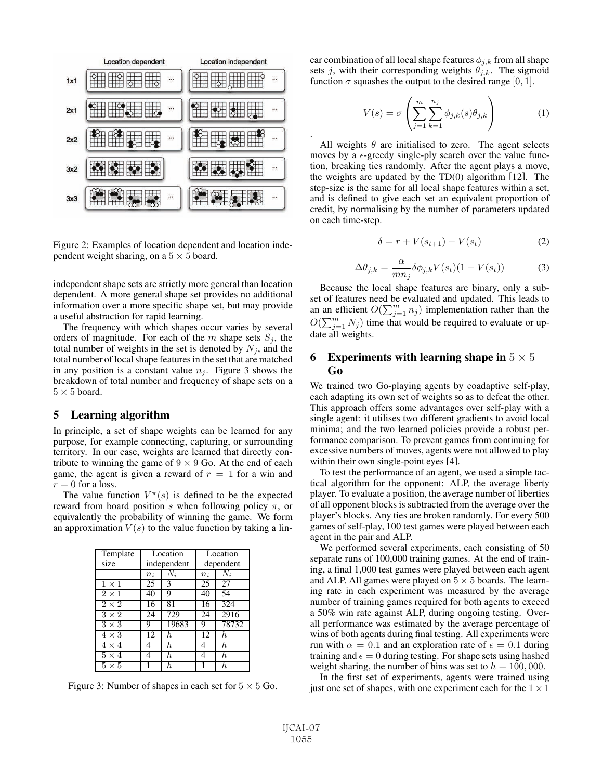

Figure 2: Examples of location dependent and location independent weight sharing, on a  $5 \times 5$  board.

independent shape sets are strictly more general than location dependent. A more general shape set provides no additional information over a more specific shape set, but may provide a useful abstraction for rapid learning.

The frequency with which shapes occur varies by several orders of magnitude. For each of the  $m$  shape sets  $S_j$ , the total number of weights in the set is denoted by  $N_j$ , and the total number of local shape features in the set that are matched in any position is a constant value  $n_i$ . Figure 3 shows the breakdown of total number and frequency of shape sets on a  $5 \times 5$  board.

#### 5 Learning algorithm

In principle, a set of shape weights can be learned for any purpose, for example connecting, capturing, or surrounding territory. In our case, weights are learned that directly contribute to winning the game of  $9 \times 9$  Go. At the end of each game, the agent is given a reward of  $r = 1$  for a win and  $r = 0$  for a loss.

The value function  $V^{\pi}(s)$  is defined to be the expected reward from board position s when following policy  $\pi$ , or equivalently the probability of winning the game. We form an approximation  $V(s)$  to the value function by taking a lin-

| Template<br>size        |       | Location<br>independent | Location<br>dependent |                  |  |
|-------------------------|-------|-------------------------|-----------------------|------------------|--|
|                         |       | $N_i$                   | $N_i$                 |                  |  |
|                         | $n_i$ |                         | $n_i$                 |                  |  |
| $1 \times 1$            | 25    | 3                       | 25                    | 27               |  |
| $\overline{2\times1}$   | 40    | 9                       | 40                    | 54               |  |
| $2 \times 2$            | 16    | 81                      | 16                    | 324              |  |
| $3 \times 2$            | 24    | 729                     | 24                    | 2916             |  |
| $3 \times 3$            | 9     | 19683                   | 9                     | 78732            |  |
| $4 \times 3$            | 12    | h.                      | 12                    | $\boldsymbol{h}$ |  |
| $4 \times 4$            |       | h.                      | 4                     | $\boldsymbol{h}$ |  |
| $\overline{5} \times 4$ |       | h.                      | 4                     | h.               |  |
| $5 \times 5$            |       | h,                      |                       | h.               |  |

Figure 3: Number of shapes in each set for  $5 \times 5$  Go.

ear combination of all local shape features  $\phi_{j,k}$  from all shape sets j, with their corresponding weights  $\theta_{j,k}$ . The sigmoid function  $\sigma$  squashes the output to the desired range [0, 1].

$$
V(s) = \sigma \left( \sum_{j=1}^{m} \sum_{k=1}^{n_j} \phi_{j,k}(s) \theta_{j,k} \right) \tag{1}
$$

All weights  $\theta$  are initialised to zero. The agent selects moves by a  $\epsilon$ -greedy single-ply search over the value function, breaking ties randomly. After the agent plays a move, the weights are updated by the  $TD(0)$  algorithm [12]. The step-size is the same for all local shape features within a set, and is defined to give each set an equivalent proportion of credit, by normalising by the number of parameters updated on each time-step.

.

$$
\delta = r + V(s_{t+1}) - V(s_t) \tag{2}
$$

$$
\Delta \theta_{j,k} = \frac{\alpha}{mn_j} \delta \phi_{j,k} V(s_t) (1 - V(s_t)) \tag{3}
$$

Because the local shape features are binary, only a subset of features need be evaluated and updated. This leads to an an efficient  $O(\sum_{j=1}^m n_j)$  implementation rather than the  $O(\sum_{j=1}^m N_j)$  time that would be required to evaluate or update all weights.

### 6 Experiments with learning shape in  $5 \times 5$ Go

We trained two Go-playing agents by coadaptive self-play, each adapting its own set of weights so as to defeat the other. This approach offers some advantages over self-play with a single agent: it utilises two different gradients to avoid local minima; and the two learned policies provide a robust performance comparison. To prevent games from continuing for excessive numbers of moves, agents were not allowed to play within their own single-point eyes [4].

To test the performance of an agent, we used a simple tactical algorithm for the opponent: ALP, the average liberty player. To evaluate a position, the average number of liberties of all opponent blocks is subtracted from the average over the player's blocks. Any ties are broken randomly. For every 500 games of self-play, 100 test games were played between each agent in the pair and ALP.

We performed several experiments, each consisting of 50 separate runs of 100,000 training games. At the end of training, a final 1,000 test games were played between each agent and ALP. All games were played on  $5 \times 5$  boards. The learning rate in each experiment was measured by the average number of training games required for both agents to exceed a 50% win rate against ALP, during ongoing testing. Overall performance was estimated by the average percentage of wins of both agents during final testing. All experiments were run with  $\alpha = 0.1$  and an exploration rate of  $\epsilon = 0.1$  during training and  $\epsilon = 0$  during testing. For shape sets using hashed weight sharing, the number of bins was set to  $h = 100,000$ .

In the first set of experiments, agents were trained using just one set of shapes, with one experiment each for the  $1 \times 1$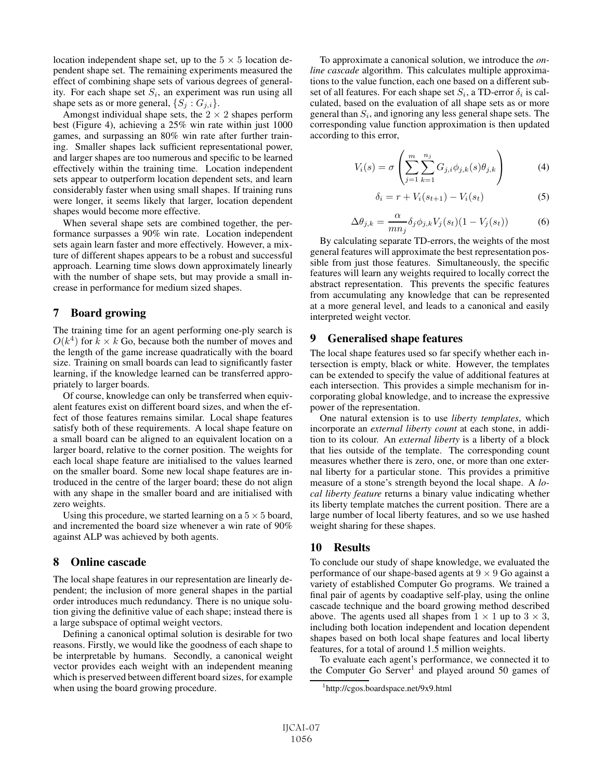location independent shape set, up to the  $5 \times 5$  location dependent shape set. The remaining experiments measured the effect of combining shape sets of various degrees of generality. For each shape set  $S_i$ , an experiment was run using all shape sets as or more general,  $\{S_j: G_{j,i}\}.$ 

Amongst individual shape sets, the  $2 \times 2$  shapes perform best (Figure 4), achieving a 25% win rate within just 1000 games, and surpassing an 80% win rate after further training. Smaller shapes lack sufficient representational power, and larger shapes are too numerous and specific to be learned effectively within the training time. Location independent sets appear to outperform location dependent sets, and learn considerably faster when using small shapes. If training runs were longer, it seems likely that larger, location dependent shapes would become more effective.

When several shape sets are combined together, the performance surpasses a 90% win rate. Location independent sets again learn faster and more effectively. However, a mixture of different shapes appears to be a robust and successful approach. Learning time slows down approximately linearly with the number of shape sets, but may provide a small increase in performance for medium sized shapes.

### 7 Board growing

The training time for an agent performing one-ply search is  $O(k^4)$  for  $k \times k$  Go, because both the number of moves and the length of the game increase quadratically with the board size. Training on small boards can lead to significantly faster learning, if the knowledge learned can be transferred appropriately to larger boards.

Of course, knowledge can only be transferred when equivalent features exist on different board sizes, and when the effect of those features remains similar. Local shape features satisfy both of these requirements. A local shape feature on a small board can be aligned to an equivalent location on a larger board, relative to the corner position. The weights for each local shape feature are initialised to the values learned on the smaller board. Some new local shape features are introduced in the centre of the larger board; these do not align with any shape in the smaller board and are initialised with zero weights.

Using this procedure, we started learning on a  $5 \times 5$  board, and incremented the board size whenever a win rate of 90% against ALP was achieved by both agents.

### 8 Online cascade

The local shape features in our representation are linearly dependent; the inclusion of more general shapes in the partial order introduces much redundancy. There is no unique solution giving the definitive value of each shape; instead there is a large subspace of optimal weight vectors.

Defining a canonical optimal solution is desirable for two reasons. Firstly, we would like the goodness of each shape to be interpretable by humans. Secondly, a canonical weight vector provides each weight with an independent meaning which is preserved between different board sizes, for example when using the board growing procedure.

To approximate a canonical solution, we introduce the *online cascade* algorithm. This calculates multiple approximations to the value function, each one based on a different subset of all features. For each shape set  $S_i$ , a TD-error  $\delta_i$  is calculated, based on the evaluation of all shape sets as or more general than  $S_i$ , and ignoring any less general shape sets. The corresponding value function approximation is then updated according to this error,

$$
V_i(s) = \sigma \left( \sum_{j=1}^m \sum_{k=1}^{n_j} G_{j,i} \phi_{j,k}(s) \theta_{j,k} \right)
$$
 (4)

$$
\delta_i = r + V_i(s_{t+1}) - V_i(s_t)
$$
\n(5)

$$
\Delta \theta_{j,k} = \frac{\alpha}{mn_j} \delta_j \phi_{j,k} V_j(s_t) (1 - V_j(s_t)) \tag{6}
$$

By calculating separate TD-errors, the weights of the most general features will approximate the best representation possible from just those features. Simultaneously, the specific features will learn any weights required to locally correct the abstract representation. This prevents the specific features from accumulating any knowledge that can be represented at a more general level, and leads to a canonical and easily interpreted weight vector.

### 9 Generalised shape features

The local shape features used so far specify whether each intersection is empty, black or white. However, the templates can be extended to specify the value of additional features at each intersection. This provides a simple mechanism for incorporating global knowledge, and to increase the expressive power of the representation.

One natural extension is to use *liberty templates*, which incorporate an *external liberty count* at each stone, in addition to its colour. An *external liberty* is a liberty of a block that lies outside of the template. The corresponding count measures whether there is zero, one, or more than one external liberty for a particular stone. This provides a primitive measure of a stone's strength beyond the local shape. A *local liberty feature* returns a binary value indicating whether its liberty template matches the current position. There are a large number of local liberty features, and so we use hashed weight sharing for these shapes.

#### 10 Results

To conclude our study of shape knowledge, we evaluated the performance of our shape-based agents at  $9 \times 9$  Go against a variety of established Computer Go programs. We trained a final pair of agents by coadaptive self-play, using the online cascade technique and the board growing method described above. The agents used all shapes from  $1 \times 1$  up to  $3 \times 3$ , including both location independent and location dependent shapes based on both local shape features and local liberty features, for a total of around 1.5 million weights.

To evaluate each agent's performance, we connected it to the Computer Go Server<sup>1</sup> and played around 50 games of

<sup>1</sup> http://cgos.boardspace.net/9x9.html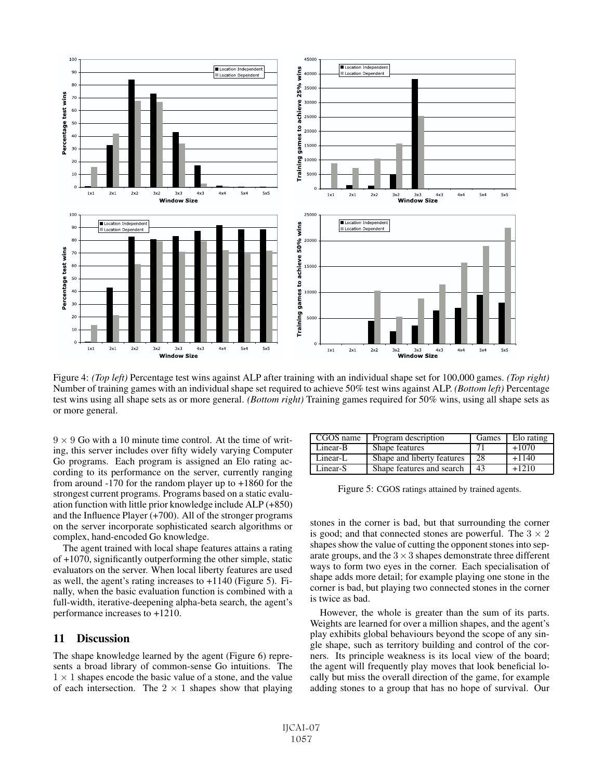

Figure 4: *(Top left)* Percentage test wins against ALP after training with an individual shape set for 100,000 games. *(Top right)* Number of training games with an individual shape set required to achieve 50% test wins against ALP. *(Bottom left)* Percentage test wins using all shape sets as or more general. *(Bottom right)* Training games required for 50% wins, using all shape sets as or more general.

 $9 \times 9$  Go with a 10 minute time control. At the time of writing, this server includes over fifty widely varying Computer Go programs. Each program is assigned an Elo rating according to its performance on the server, currently ranging from around -170 for the random player up to +1860 for the strongest current programs. Programs based on a static evaluation function with little prior knowledge include ALP (+850) and the Influence Player (+700). All of the stronger programs on the server incorporate sophisticated search algorithms or complex, hand-encoded Go knowledge.

The agent trained with local shape features attains a rating of +1070, significantly outperforming the other simple, static evaluators on the server. When local liberty features are used as well, the agent's rating increases to +1140 (Figure 5). Finally, when the basic evaluation function is combined with a full-width, iterative-deepening alpha-beta search, the agent's performance increases to +1210.

### 11 Discussion

The shape knowledge learned by the agent (Figure 6) represents a broad library of common-sense Go intuitions. The  $1 \times 1$  shapes encode the basic value of a stone, and the value of each intersection. The  $2 \times 1$  shapes show that playing

| CGOS name | Program description        | Games | Elo rating |
|-----------|----------------------------|-------|------------|
| Linear-B  | Shape features             |       | $+1070$    |
| Linear-L  | Shape and liberty features | 28    | $+1140$    |
| Linear-S  | Shape features and search  | 43    | $+1210$    |

Figure 5: CGOS ratings attained by trained agents.

stones in the corner is bad, but that surrounding the corner is good; and that connected stones are powerful. The  $3 \times 2$ shapes show the value of cutting the opponent stones into separate groups, and the  $3 \times 3$  shapes demonstrate three different ways to form two eyes in the corner. Each specialisation of shape adds more detail; for example playing one stone in the corner is bad, but playing two connected stones in the corner is twice as bad.

However, the whole is greater than the sum of its parts. Weights are learned for over a million shapes, and the agent's play exhibits global behaviours beyond the scope of any single shape, such as territory building and control of the corners. Its principle weakness is its local view of the board; the agent will frequently play moves that look beneficial locally but miss the overall direction of the game, for example adding stones to a group that has no hope of survival. Our